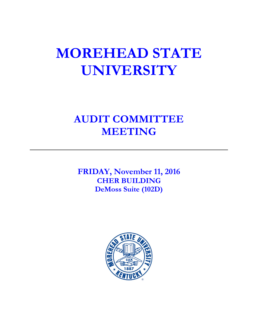# **MOREHEAD STATE UNIVERSITY**

# **AUDIT COMMITTEE MEETING**

**FRIDAY, November 11, 2016 CHER BUILDING DeMoss Suite (102D)**

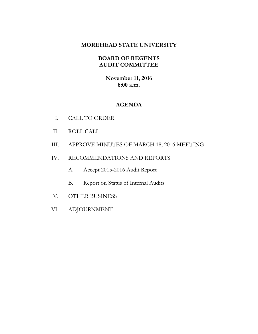### **MOREHEAD STATE UNIVERSITY**

# **BOARD OF REGENTS AUDIT COMMITTEE**

**November 11, 2016 8:00 a.m.**

## **AGENDA**

- I. CALL TO ORDER
- II. ROLL CALL
- III. APPROVE MINUTES OF MARCH 18, 2016 MEETING
- IV. RECOMMENDATIONS AND REPORTS
	- A. Accept 2015-2016 Audit Report
	- B. Report on Status of Internal Audits
- V. OTHER BUSINESS
- VI. ADJOURNMENT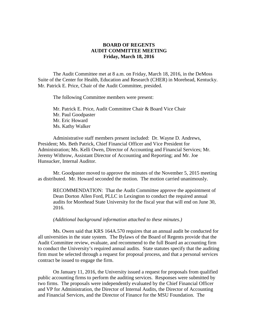#### **BOARD OF REGENTS AUDIT COMMITTEE MEETING Friday, March 18, 2016**

The Audit Committee met at 8 a.m. on Friday, March 18, 2016, in the DeMoss Suite of the Center for Health, Education and Research (CHER) in Morehead, Kentucky. Mr. Patrick E. Price, Chair of the Audit Committee, presided.

The following Committee members were present:

Mr. Patrick E. Price, Audit Committee Chair & Board Vice Chair Mr. Paul Goodpaster Mr. Eric Howard Ms. Kathy Walker

Administrative staff members present included: Dr. Wayne D. Andrews, President; Ms. Beth Patrick, Chief Financial Officer and Vice President for Administration; Ms. Kelli Owen, Director of Accounting and Financial Services; Mr. Jeremy Withrow, Assistant Director of Accounting and Reporting; and Mr. Joe Hunsucker, Internal Auditor.

Mr. Goodpaster moved to approve the minutes of the November 5, 2015 meeting as distributed. Mr. Howard seconded the motion. The motion carried unanimously.

RECOMMENDATION: That the Audit Committee approve the appointment of Dean Dorton Allen Ford, PLLC in Lexington to conduct the required annual audits for Morehead State University for the fiscal year that will end on June 30, 2016.

#### *(Additional background information attached to these minutes.)*

Ms. Owen said that KRS 164A.570 requires that an annual audit be conducted for all universities in the state system. The Bylaws of the Board of Regents provide that the Audit Committee review, evaluate, and recommend to the full Board an accounting firm to conduct the University's required annual audits. State statutes specify that the auditing firm must be selected through a request for proposal process, and that a personal services contract be issued to engage the firm.

On January 11, 2016, the University issued a request for proposals from qualified public accounting firms to perform the auditing services. Responses were submitted by two firms. The proposals were independently evaluated by the Chief Financial Officer and VP for Administration, the Director of Internal Audits, the Director of Accounting and Financial Services, and the Director of Finance for the MSU Foundation. The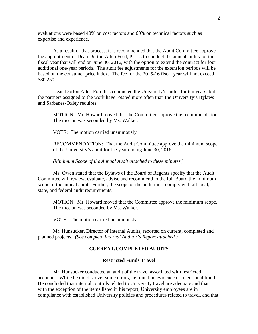evaluations were based 40% on cost factors and 60% on technical factors such as expertise and experience.

As a result of that process, it is recommended that the Audit Committee approve the appointment of Dean Dorton Allen Ford, PLLC to conduct the annual audits for the fiscal year that will end on June 30, 2016, with the option to extend the contract for four additional one-year periods. The audit fee adjustments for the extension periods will be based on the consumer price index. The fee for the 2015-16 fiscal year will not exceed \$80,250.

Dean Dorton Allen Ford has conducted the University's audits for ten years, but the partners assigned to the work have rotated more often than the University's Bylaws and Sarbanes-Oxley requires.

MOTION: Mr. Howard moved that the Committee approve the recommendation. The motion was seconded by Ms. Walker.

VOTE: The motion carried unanimously.

RECOMMENDATION: That the Audit Committee approve the minimum scope of the University's audit for the year ending June 30, 2016.

*(Minimum Scope of the Annual Audit attached to these minutes.)*

Ms. Owen stated that the Bylaws of the Board of Regents specify that the Audit Committee will review, evaluate, advise and recommend to the full Board the minimum scope of the annual audit. Further, the scope of the audit must comply with all local, state, and federal audit requirements.

MOTION: Mr. Howard moved that the Committee approve the minimum scope. The motion was seconded by Ms. Walker.

VOTE: The motion carried unanimously.

Mr. Hunsucker, Director of Internal Audits, reported on current, completed and planned projects. *(See complete Internal Auditor's Report attached.)*

#### **CURRENT/COMPLETED AUDITS**

#### **Restricted Funds Travel**

Mr. Hunsucker conducted an audit of the travel associated with restricted accounts. While he did discover some errors, he found no evidence of intentional fraud. He concluded that internal controls related to University travel are adequate and that, with the exception of the items listed in his report, University employees are in compliance with established University policies and procedures related to travel, and that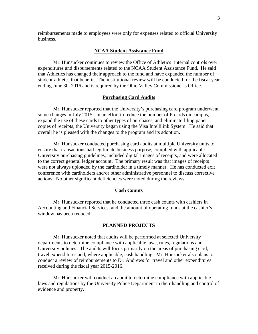reimbursements made to employees were only for expenses related to official University business.

#### **NCAA Student Assistance Fund**

Mr. Hunsucker continues to review the Office of Athletics' internal controls over expenditures and disbursements related to the NCAA Student Assistance Fund. He said that Athletics has changed their approach to the fund and have expanded the number of student-athletes that benefit. The institutional review will be conducted for the fiscal year ending June 30, 2016 and is required by the Ohio Valley Commissioner's Office.

#### **Purchasing Card Audits**

Mr. Hunsucker reported that the University's purchasing card program underwent some changes in July 2015. In an effort to reduce the number of P-cards on campus, expand the use of these cards to other types of purchases, and eliminate filing paper copies of receipts, the University began using the Visa Intellilink System. He said that overall he is pleased with the changes to the program and its adoption.

Mr. Hunsucker conducted purchasing card audits at multiple University units to ensure that transactions had legitimate business purpose, complied with applicable University purchasing guidelines, included digital images of receipts, and were allocated to the correct general ledger account. The primary result was that images of receipts were not always uploaded by the cardholder in a timely manner. He has conducted exit conference with cardholders and/or other administrative personnel to discuss corrective actions. No other significant deficiencies were noted during the reviews.

#### **Cash Counts**

Mr. Hunsucker reported that he conducted three cash counts with cashiers in Accounting and Financial Services, and the amount of operating funds at the cashier's window has been reduced.

#### **PLANNED PROJECTS**

Mr. Hunsucker noted that audits will be performed at selected University departments to determine compliance with applicable laws, rules, regulations and University policies. The audits will focus primarily on the areas of purchasing card, travel expenditures and, where applicable, cash handling. Mr. Hunsucker also plans to conduct a review of reimbursements to Dr. Andrews for travel and other expenditures received during the fiscal year 2015-2016.

Mr. Hunsucker will conduct an audit to determine compliance with applicable laws and regulations by the University Police Department in their handling and control of evidence and property.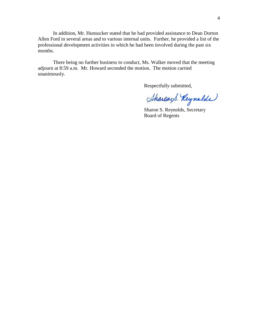In addition, Mr. Hunsucker stated that he had provided assistance to Dean Dorton Allen Ford in several areas and to various internal units. Further, he provided a list of the professional development activities in which he had been involved during the past six months.

There being no further business to conduct, Ms. Walker moved that the meeting adjourn at 8:59 a.m. Mr. Howard seconded the motion. The motion carried unanimously.

Respectfully submitted,

Sharand. Reynolds

Sharon S. Reynolds, Secretary Board of Regents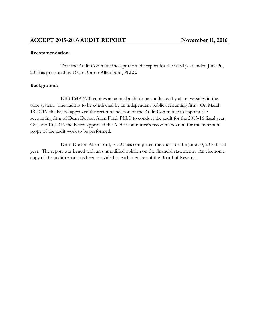#### **Recommendation:**

That the Audit Committee accept the audit report for the fiscal year ended June 30, 2016 as presented by Dean Dorton Allen Ford, PLLC.

#### **Background:**

KRS 164A.570 requires an annual audit to be conducted by all universities in the state system. The audit is to be conducted by an independent public accounting firm. On March 18, 2016, the Board approved the recommendation of the Audit Committee to appoint the accounting firm of Dean Dorton Allen Ford, PLLC to conduct the audit for the 2015-16 fiscal year. On June 10, 2016 the Board approved the Audit Committee's recommendation for the minimum scope of the audit work to be performed.

Dean Dorton Allen Ford, PLLC has completed the audit for the June 30, 2016 fiscal year. The report was issued with an unmodified opinion on the financial statements. An electronic copy of the audit report has been provided to each member of the Board of Regents.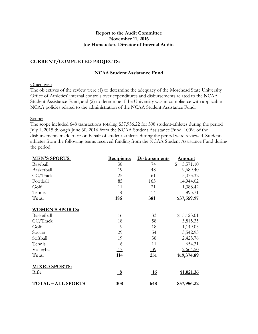#### **Report to the Audit Committee November 11, 2016 Joe Hunsucker, Director of Internal Audits**

#### **CURRENT/COMPLETED PROJECTS:**

#### **NCAA Student Assistance Fund**

#### Objectives:

The objectives of the review were (1) to determine the adequacy of the Morehead State University Office of Athletics' internal controls over expenditures and disbursements related to the NCAA Student Assistance Fund, and (2) to determine if the University was in compliance with applicable NCAA policies related to the administration of the NCAA Student Assistance Fund.

#### Scope:

The scope included 648 transactions totaling \$57,956.22 for 308 student-athletes during the period July 1, 2015 through June 30, 2016 from the NCAA Student Assistance Fund. 100% of the disbursements made to or on behalf of student-athletes during the period were reviewed. Studentathletes from the following teams received funding from the NCAA Student Assistance Fund during the period:

| <b>MEN'S SPORTS:</b>    | <b>Recipients</b> | <b>Disbursements</b> | <u>Amount</u>  |
|-------------------------|-------------------|----------------------|----------------|
| Baseball                | 38                | 74                   | \$<br>5,571.10 |
| Basketball              | 19                | 48                   | 9,689.40       |
| CC/Track                | 25                | 61                   | 5,073.32       |
| Football                | 85                | 163                  | 14,944.02      |
| Golf                    | 11                | 21                   | 1,388.42       |
| Tennis                  | 8                 | <u>14</u>            | 893.71         |
| Total                   | 186               | 381                  | \$37,559.97    |
| <b>WOMEN'S SPORTS:</b>  |                   |                      |                |
| Basketball              | 16                | 33                   | 5.123.01<br>\$ |
| CC/Track                | 18                | 58                   | 3,815.35       |
| Golf                    | 9                 | 18                   | 1,149.03       |
| Soccer                  | 29                | 54                   | 3,542.93       |
| Softball                | 19                | 38                   | 2,425.76       |
| Tennis                  | 6                 | 11                   | 654.31         |
| Volleyball              | <u>17</u>         | $\frac{39}{2}$       | 2,664.50       |
| Total                   | 114               | 251                  | \$19,374.89    |
| <b>MIXED SPORTS:</b>    |                   |                      |                |
| Rifle                   | $\underline{8}$   | <u>16</u>            | \$1,021.36     |
| <b>TOTAL-ALL SPORTS</b> | 308               | 648                  | \$57,956.22    |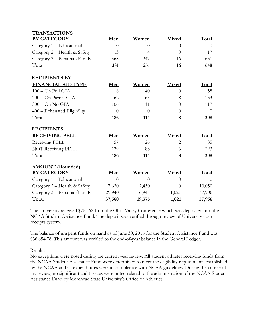| <b>TRANSACTIONS</b>          |                |                |                |                |
|------------------------------|----------------|----------------|----------------|----------------|
| <b>BY CATEGORY</b>           | Men            | Women          | Mixed          | Total          |
| Category 1 – Educational     | $\theta$       | $\Omega$       | $\Omega$       | $\overline{0}$ |
| Category 2 – Health & Safety | 13             | $\overline{4}$ | $\theta$       | 17             |
| Category 3 - Personal/Family | 368            | <u>247</u>     | <u>16</u>      | 631            |
| Total                        | 381            | 251            | 16             | 648            |
| <b>RECIPIENTS BY</b>         |                |                |                |                |
| <b>FINANCIAL AID TYPE</b>    | Men            | Women          | Mixed          | Total          |
| 100 - On Full GIA            | 18             | 40             | $\Omega$       | 58             |
| 200 - On Partial GIA         | 62             | 63             | 8              | 133            |
| $300 - On No GIA$            | 106            | 11             | $\theta$       | 117            |
| 400 - Exhausted Eligibility  | $\overline{0}$ | $\overline{0}$ | $\overline{0}$ | $\overline{0}$ |
| Total                        | 186            | 114            | 8              | 308            |
| <b>RECIPIENTS</b>            |                |                |                |                |
| <b>RECEIVING PELL</b>        | Men            | Women          | Mixed          | Total          |
| Receiving PELL               | 57             | 26             | 2              | 85             |
| NOT Receiving PELL           | 129            | 88             | <u>6</u>       | 223            |
| Total                        | 186            | 114            | 8              | 308            |
| <b>AMOUNT</b> (Rounded)      |                |                |                |                |
| <b>BY CATEGORY</b>           | Men            | Women          | <b>Mixed</b>   | Total          |
| Category 1 – Educational     | $\theta$       | $\Omega$       | $\Omega$       | $\Omega$       |
| Category 2 – Health & Safety | 7,620          | 2,430          | $\Omega$       | 10,050         |
| Category 3 - Personal/Family | 29,940         | 16,945         | 1,021          | 47,906         |
| Total                        | 37,560         | 19,375         | 1,021          | 57,956         |

The University received \$76,562 from the Ohio Valley Conference which was deposited into the NCAA Student Assistance Fund. The deposit was verified through review of University cash receipts system.

The balance of unspent funds on hand as of June 30, 2016 for the Student Assistance Fund was \$36,654.78. This amount was verified to the end-of-year balance in the General Ledger.

#### Results:

No exceptions were noted during the current year review. All student-athletes receiving funds from the NCAA Student Assistance Fund were determined to meet the eligibility requirements established by the NCAA and all expenditures were in compliance with NCAA guidelines. During the course of my review, no significant audit issues were noted related to the administration of the NCAA Student Assistance Fund by Morehead State University's Office of Athletics.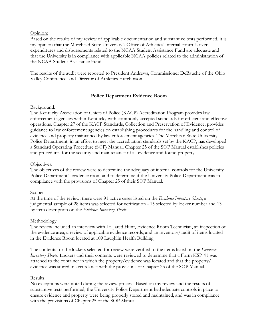#### Opinion:

Based on the results of my review of applicable documentation and substantive tests performed, it is my opinion that the Morehead State University's Office of Athletics' internal controls over expenditures and disbursements related to the NCAA Student Assistance Fund are adequate and that the University is in compliance with applicable NCAA policies related to the administration of the NCAA Student Assistance Fund.

The results of the audit were reported to President Andrews, Commissioner DeBauche of the Ohio Valley Conference, and Director of Athletics Hutchinson.

#### **Police Department Evidence Room**

#### Background:

The Kentucky Association of Chiefs of Police (KACP) Accreditation Program provides law enforcement agencies within Kentucky with commonly accepted standards for efficient and effective operations. Chapter 27 of the KACP Standards, Collection and Preservation of Evidence, provides guidance to law enforcement agencies on establishing procedures for the handling and control of evidence and property maintained by law enforcement agencies. The Morehead State University Police Department, in an effort to meet the accreditation standards set by the KACP, has developed a Standard Operating Procedure (SOP) Manual. Chapter 25 of the SOP Manual establishes policies and procedures for the security and maintenance of all evidence and found property.

#### Objectives:

The objectives of the review were to determine the adequacy of internal controls for the University Police Department's evidence room and to determine if the University Police Department was in compliance with the provisions of Chapter 25 of their SOP Manual.

#### Scope:

At the time of the review, there were 91 active cases listed on the *Evidence Inventory Sheets*, a judgmental sample of 28 items was selected for verification - 15 selected by locker number and 13 by item description on the *Evidence Inventory Sheets*.

#### Methodology:

The review included an interview with Lt. Jared Hunt, Evidence Room Technician, an inspection of the evidence area, a review of applicable evidence records, and an inventory/audit of items located in the Evidence Room located at 109 Laughlin Health Building.

The contents for the lockers selected for review were verified to the items listed on the *Evidence Inventory Sheets.* Lockers and their contents were reviewed to determine that a Form KSP-41 was attached to the container in which the property/evidence was located and that the property/ evidence was stored in accordance with the provisions of Chapter 25 of the SOP Manual.

#### Results:

No exceptions were noted during the review process. Based on my review and the results of substantive tests performed, the University Police Department had adequate controls in place to ensure evidence and property were being properly stored and maintained, and was in compliance with the provisions of Chapter 25 of the SOP Manual.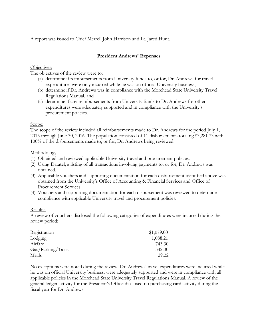A report was issued to Chief Merrell John Harrison and Lt. Jared Hunt.

#### **President Andrews' Expenses**

#### Objectives:

The objectives of the review were to:

- (a) determine if reimbursements from University funds to, or for, Dr. Andrews for travel expenditures were only incurred while he was on official University business,
- (b) determine if Dr. Andrews was in compliance with the Morehead State University Travel Regulations Manual, and
- (c) determine if any reimbursements from University funds to Dr. Andrews for other expenditures were adequately supported and in compliance with the University's procurement policies.

#### Scope:

The scope of the review included all reimbursements made to Dr. Andrews for the period July 1, 2015 through June 30, 2016. The population consisted of 11 disbursements totaling \$3,281.73 with 100% of the disbursements made to, or for, Dr. Andrews being reviewed.

#### Methodology:

- (1) Obtained and reviewed applicable University travel and procurement policies.
- (2) Using Datatel, a listing of all transactions involving payments to, or for, Dr. Andrews was obtained.
- (3) Applicable vouchers and supporting documentation for each disbursement identified above was obtained from the University's Office of Accounting & Financial Services and Office of Procurement Services.
- (4) Vouchers and supporting documentation for each disbursement was reviewed to determine compliance with applicable University travel and procurement policies.

#### Results:

A review of vouchers disclosed the following categories of expenditures were incurred during the review period:

| Registration      | \$1,079.00 |
|-------------------|------------|
| Lodging           | 1,088.21   |
| Airfare           | 743.30     |
| Gas/Parking/Taxis | 342.00     |
| Meals             | 29.22      |

No exceptions were noted during the review. Dr. Andrews' travel expenditures were incurred while he was on official University business, were adequately supported and were in compliance with all applicable policies in the Morehead State University Travel Regulations Manual. A review of the general ledger activity for the President's Office disclosed no purchasing card activity during the fiscal year for Dr. Andrews.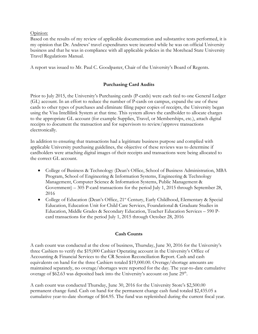#### Opinion:

Based on the results of my review of applicable documentation and substantive tests performed, it is my opinion that Dr. Andrews' travel expenditures were incurred while he was on official University business and that he was in compliance with all applicable policies in the Morehead State University Travel Regulations Manual.

A report was issued to Mr. Paul C. Goodpaster, Chair of the University's Board of Regents.

#### **Purchasing Card Audits**

Prior to July 2015, the University's Purchasing cards (P-cards) were each tied to one General Ledger (GL) account. In an effort to reduce the number of P-cards on campus, expand the use of these cards to other types of purchases and eliminate filing paper copies of receipts, the University began using the Visa Intellilink System at that time. This system allows the cardholder to allocate charges to the appropriate GL account (for example Supplies, Travel, or Memberships, etc.), attach digital receipts to document the transaction and for supervisors to review/approve transactions electronically.

In addition to ensuring that transactions had a legitimate business purpose and complied with applicable University purchasing guidelines, the objective of these reviews was to determine if cardholders were attaching digital images of their receipts and transactions were being allocated to the correct GL account.

- College of Business & Technology (Dean's Office, School of Business Administration, MBA Program, School of Engineering & Information Systems, Engineering & Technology Management, Computer Science & Information Systems, Public Management & Government) – 305 P-card transactions for the period July 1, 2015 through September 28, 2016
- College of Education (Dean's Office, 21<sup>st</sup> Century, Early Childhood, Elementary & Special Education, Education Unit for Child Care Services, Foundational & Graduate Studies in Education, Middle Grades & Secondary Education, Teacher Education Services – 590 Pcard transactions for the period July 1, 2015 through October 28, 2016

#### **Cash Counts**

A cash count was conducted at the close of business, Thursday, June 30, 2016 for the University's three Cashiers to verify the \$19,000 Cashier Operating account in the University's Office of Accounting & Financial Services to the CR Session Reconciliation Report. Cash and cash equivalents on hand for the three Cashiers totaled \$19,000.00. Overage/shortage amounts are maintained separately, no overage/shortages were reported for the day. The year-to-date cumulative overage of \$62.63 was deposited back into the University's account on June  $29<sup>th</sup>$ .

A cash count was conducted Thursday, June 30, 2016 for the University Store's \$2,500.00 permanent change fund. Cash on hand for the permanent change cash fund totaled \$2,435.05 a cumulative year-to-date shortage of \$64.95. The fund was replenished during the current fiscal year.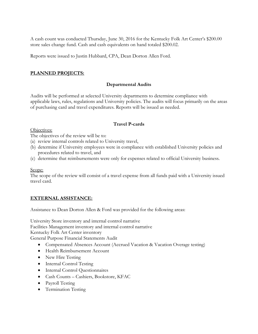A cash count was conducted Thursday, June 30, 2016 for the Kentucky Folk Art Center's \$200.00 store sales change fund. Cash and cash equivalents on hand totaled \$200.02.

Reports were issued to Justin Hubbard, CPA, Dean Dorton Allen Ford.

#### **PLANNED PROJECTS:**

#### **Departmental Audits**

Audits will be performed at selected University departments to determine compliance with applicable laws, rules, regulations and University policies. The audits will focus primarily on the areas of purchasing card and travel expenditures. Reports will be issued as needed.

#### **Travel P-cards**

#### Objectives:

The objectives of the review will be to:

- (a) review internal controls related to University travel,
- (b) determine if University employees were in compliance with established University policies and procedures related to travel, and
- (c) determine that reimbursements were only for expenses related to official University business.

#### Scope:

The scope of the review will consist of a travel expense from all funds paid with a University issued travel card.

#### **EXTERNAL ASSISTANCE:**

Assistance to Dean Dorton Allen & Ford was provided for the following areas:

University Store inventory and internal control narrative

Facilities Management inventory and internal control narrative

Kentucky Folk Art Center inventory

General Purpose Financial Statements Audit

- Compensated Absences Account (Accrued Vacation & Vacation Overage testing)
- Health Reimbursement Account
- New Hire Testing
- Internal Control Testing
- Internal Control Questionnaires
- Cash Counts Cashiers, Bookstore, KFAC
- Payroll Testing
- Termination Testing